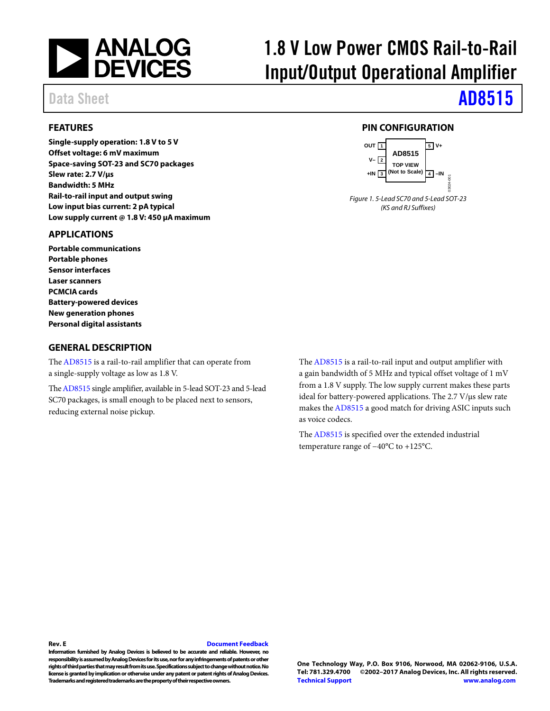

# 1.8 V Low Power CMOS Rail-to-Rail Input/Output Operational Amplifier

# Data Sheet **[AD8515](http://www.analog.com/AD8515?doc=AD8515.pdf)**

### <span id="page-0-0"></span>**FEATURES**

**Single-supply operation: 1.8 V to 5 V Offset voltage: 6 mV maximum Space-saving SOT-23 and SC70 packages Slew rate: 2.7 V/μs Bandwidth: 5 MHz Rail-to-rail input and output swing Low input bias current: 2 pA typical Low supply current @ 1.8 V: 450 μA maximum** 

#### <span id="page-0-1"></span>**APPLICATIONS**

**Portable communications Portable phones Sensor interfaces Laser scanners PCMCIA cards Battery-powered devices New generation phones Personal digital assistants** 

#### <span id="page-0-3"></span>**GENERAL DESCRIPTION**

Th[e AD8515 i](http://www.analog.com/AD8515?doc=AD8515.pdf)s a rail-to-rail amplifier that can operate from a single-supply voltage as low as 1.8 V.

Th[e AD8515 s](http://www.analog.com/AD8515?doc=AD8515.pdf)ingle amplifier, available in 5-lead SOT-23 and 5-lead SC70 packages, is small enough to be placed next to sensors, reducing external noise pickup.

<span id="page-0-2"></span>**PIN CONFIGURATION** 



Figure 1. 5-Lead SC70 and 5-Lead SOT-23 (KS and RJ Suffixes)

Th[e AD8515 i](http://www.analog.com/AD8515?doc=AD8515.pdf)s a rail-to-rail input and output amplifier with a gain bandwidth of 5 MHz and typical offset voltage of 1 mV from a 1.8 V supply. The low supply current makes these parts ideal for battery-powered applications. The 2.7 V/μs slew rate makes th[e AD8515 a](http://www.analog.com/AD8515?doc=AD8515.pdf) good match for driving ASIC inputs such as voice codecs.

Th[e AD8515 i](http://www.analog.com/AD8515?doc=AD8515.pdf)s specified over the extended industrial temperature range of −40°C to +125°C.

#### **Rev. E [Document Feedback](https://form.analog.com/Form_Pages/feedback/documentfeedback.aspx?doc=AD8515.pdf&product=AD8515&rev=E)**

**Information furnished by Analog Devices is believed to be accurate and reliable. However, no responsibility is assumed by Analog Devices for its use, nor for any infringements of patents or other rights of third parties that may result from its use. Specifications subject to change without notice. No license is granted by implication or otherwise under any patent or patent rights of Analog Devices. Trademarks and registered trademarks are the property of their respective owners.** 

**One Technology Way, P.O. Box 9106, Norwood, MA 02062-9106, U.S.A. Tel: 781.329.4700 ©2002–2017 Analog Devices, Inc. All rights reserved. [Technical Support](http://www.analog.com/en/content/technical_support_page/fca.html) [www.analog.com](http://www.analog.com/)**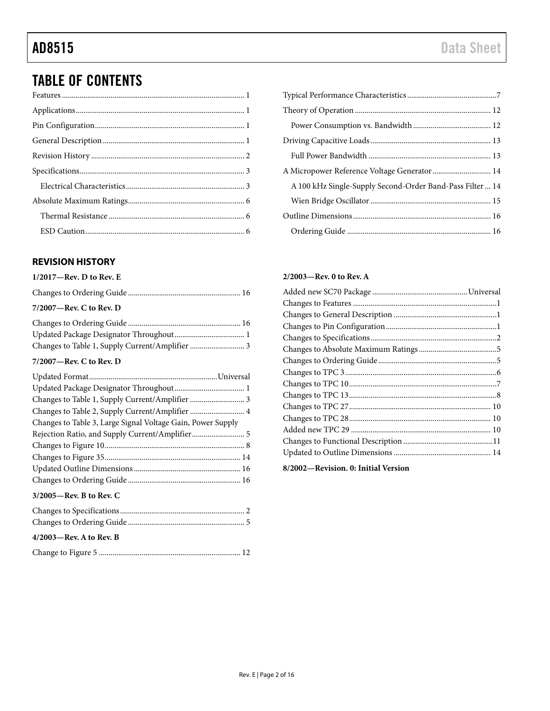# TABLE OF CONTENTS

## <span id="page-1-0"></span>**REVISION HISTORY**

### **1/2017—Rev. D to Rev. E**

| $7/2007$ —Rev. C to Rev. D |  |
|----------------------------|--|
|                            |  |
|                            |  |

## Changes to Table 1, Supply Current/Amplifier ............................ 3 **7/2007—Rev. C to Rev. D**

| Changes to Table 1, Supply Current/Amplifier  3             |
|-------------------------------------------------------------|
| Changes to Table 2, Supply Current/Amplifier  4             |
| Changes to Table 3, Large Signal Voltage Gain, Power Supply |
| Rejection Ratio, and Supply Current/Amplifier 5             |
|                                                             |
|                                                             |
|                                                             |
|                                                             |
| $3/2005$ —Rev. B to Rev. C                                  |
|                                                             |
|                                                             |
| $4/2003$ —Rev. A to Rev. B                                  |
|                                                             |

### **2/2003—Rev. 0 to Rev. A**

**8/2002—Revision. 0: Initial Version**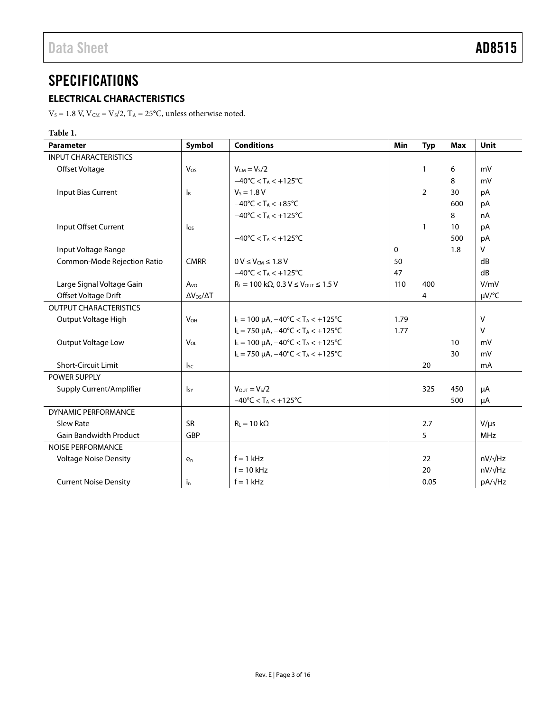# <span id="page-2-0"></span>**SPECIFICATIONS**

## <span id="page-2-1"></span>**ELECTRICAL CHARACTERISTICS**

 $V_s = 1.8$  V,  $V_{\text{CM}} = V_s/2$ ,  $T_A = 25$ °C, unless otherwise noted.

### **Table 1.**

| <b>Parameter</b>              | Symbol                    | <b>Conditions</b>                                                        | Min          | <b>Typ</b>     | <b>Max</b> | <b>Unit</b>    |
|-------------------------------|---------------------------|--------------------------------------------------------------------------|--------------|----------------|------------|----------------|
| <b>INPUT CHARACTERISTICS</b>  |                           |                                                                          |              |                |            |                |
| Offset Voltage                | Vos                       | $V_{CM} = V_S/2$                                                         |              | $\mathbf{1}$   | 6          | mV             |
|                               |                           | $-40^{\circ}$ C < T <sub>A</sub> < $+125^{\circ}$ C                      |              |                | 8          | mV             |
| Input Bias Current            | $\mathsf{I}_{\mathsf{B}}$ | $V_s = 1.8 V$                                                            |              | $\overline{2}$ | 30         | pA             |
|                               |                           | $-40^{\circ}$ C < T <sub>A</sub> < $+85^{\circ}$ C                       |              |                | 600        | pA             |
|                               |                           | $-40^{\circ}$ C < T <sub>A</sub> < $+125^{\circ}$ C                      |              |                | 8          | nA             |
| Input Offset Current          | $\log$                    |                                                                          |              | $\mathbf{1}$   | 10         | рA             |
|                               |                           | $-40^{\circ}$ C < T <sub>A</sub> < $+125^{\circ}$ C                      |              |                | 500        | pA             |
| Input Voltage Range           |                           |                                                                          | $\mathbf{0}$ |                | 1.8        | $\vee$         |
| Common-Mode Rejection Ratio   | <b>CMRR</b>               | $0 V \leq V_{CM} \leq 1.8 V$                                             | 50           |                |            | dB             |
|                               |                           | $-40^{\circ}$ C < T <sub>A</sub> < $+125^{\circ}$ C                      | 47           |                |            | dB             |
| Large Signal Voltage Gain     | A <sub>VO</sub>           | $R_L = 100 \text{ k}\Omega$ , 0.3 V $\leq$ V <sub>OUT</sub> $\leq$ 1.5 V | 110          | 400            |            | V/mV           |
| Offset Voltage Drift          | $\Delta V_{OS}/\Delta T$  |                                                                          |              | 4              |            | $\mu V$ /°C    |
| <b>OUTPUT CHARACTERISTICS</b> |                           |                                                                          |              |                |            |                |
| Output Voltage High           | $V_{OH}$                  | $I_L = 100 \mu A$ , $-40^{\circ}C < T_A < +125^{\circ}C$                 | 1.79         |                |            | $\vee$         |
|                               |                           | $I_L = 750 \mu A$ , $-40^{\circ}C < T_A < +125^{\circ}C$                 | 1.77         |                |            | $\vee$         |
| Output Voltage Low            | <b>V</b> <sub>OL</sub>    | $I_L = 100 \mu A$ , $-40^{\circ}C < T_A < +125^{\circ}C$                 |              |                | 10         | mV             |
|                               |                           | $I_L = 750 \mu A$ , $-40^{\circ}C < T_A < +125^{\circ}C$                 |              |                | 30         | mV             |
| <b>Short-Circuit Limit</b>    | $I_{SC}$                  |                                                                          |              | 20             |            | mA             |
| <b>POWER SUPPLY</b>           |                           |                                                                          |              |                |            |                |
| Supply Current/Amplifier      | $I_{SY}$                  | $V_{\text{OUT}} = V_{\text{S}}/2$                                        |              | 325            | 450        | μA             |
|                               |                           | $-40^{\circ}$ C < T <sub>A</sub> < $+125^{\circ}$ C                      |              |                | 500        | μA             |
| <b>DYNAMIC PERFORMANCE</b>    |                           |                                                                          |              |                |            |                |
| Slew Rate                     | <b>SR</b>                 | $R_L = 10 k\Omega$                                                       |              | 2.7            |            | $V/\mu s$      |
| <b>Gain Bandwidth Product</b> | GBP                       |                                                                          |              | 5              |            | <b>MHz</b>     |
| <b>NOISE PERFORMANCE</b>      |                           |                                                                          |              |                |            |                |
| <b>Voltage Noise Density</b>  | $e_n$                     | $f = 1$ kHz                                                              |              | 22             |            | $nV/\sqrt{Hz}$ |
|                               |                           | $f = 10$ kHz                                                             |              | 20             |            | $nV/\sqrt{Hz}$ |
| <b>Current Noise Density</b>  | $i_{n}$                   | $f = 1$ kHz                                                              |              | 0.05           |            | pA/√Hz         |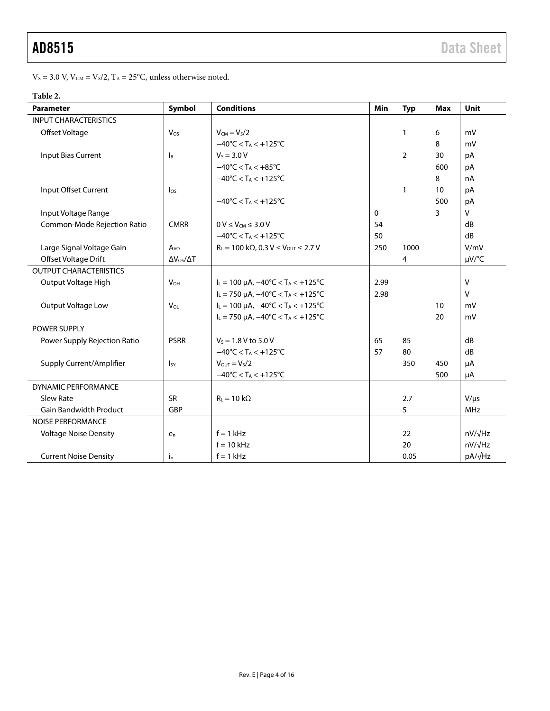$V_s$  = 3.0 V,  $V_{\text{CM}}$  = V<sub>s</sub>/2, T<sub>A</sub> = 25°C, unless otherwise noted.

## **Table 2.**

| <b>Parameter</b>              | Symbol                     | <b>Conditions</b>                                                | Min          | <b>Typ</b> | <b>Max</b> | <b>Unit</b>     |
|-------------------------------|----------------------------|------------------------------------------------------------------|--------------|------------|------------|-----------------|
| <b>INPUT CHARACTERISTICS</b>  |                            |                                                                  |              |            |            |                 |
| Offset Voltage                | $V_{OS}$                   | $V_{CM} = V_S/2$                                                 |              | 1          | 6          | mV              |
|                               |                            | $-40^{\circ}$ C < T <sub>A</sub> < $+125^{\circ}$ C              |              |            | 8          | mV              |
| <b>Input Bias Current</b>     | $\mathsf{I}_{\mathsf{B}}$  | $V_S = 3.0 V$                                                    |              | 2          | 30         | pA              |
|                               |                            | $-40^{\circ}$ C < T <sub>A</sub> < $+85^{\circ}$ C               |              |            | 600        | pA              |
|                               |                            | $-40^{\circ}$ C < T <sub>A</sub> < $+125^{\circ}$ C              |              |            | 8          | nA              |
| Input Offset Current          | $\log$                     |                                                                  |              | 1          | 10         | pA              |
|                               |                            | $-40^{\circ}$ C < T <sub>A</sub> < $+125^{\circ}$ C              |              |            | 500        | pA              |
| Input Voltage Range           |                            |                                                                  | $\mathbf{0}$ |            | 3.         | $\mathsf{V}$    |
| Common-Mode Rejection Ratio   | <b>CMRR</b>                | $0 V \leq V_{CM} \leq 3.0 V$                                     | 54           |            |            | dB              |
|                               |                            | $-40^{\circ}$ C < T <sub>A</sub> < +125 $^{\circ}$ C             | 50           |            |            | dB              |
| Large Signal Voltage Gain     | A <sub>VO</sub>            | $R_L = 100 k\Omega$ , 0.3 V $\leq$ V <sub>OUT</sub> $\leq$ 2.7 V | 250          | 1000       |            | V/mV            |
| Offset Voltage Drift          | $\Delta V_{OS}/\Delta T$   |                                                                  |              | 4          |            | µV/°C           |
| <b>OUTPUT CHARACTERISTICS</b> |                            |                                                                  |              |            |            |                 |
| Output Voltage High           | $V_{OH}$                   | $I_L = 100 \mu A$ , $-40^{\circ}C < T_A < +125^{\circ}C$         | 2.99         |            |            | $\vee$          |
|                               |                            | $I_L = 750 \mu A$ , $-40^{\circ}C < T_A < +125^{\circ}C$         | 2.98         |            |            | $\vee$          |
| Output Voltage Low            | <b>V<sub>OL</sub></b>      | $I_L = 100 \mu A$ , $-40^{\circ}C < T_A < +125^{\circ}C$         |              |            | 10         | mV              |
|                               |                            | $I_L = 750 \mu A$ , $-40^{\circ}C < T_A < +125^{\circ}C$         |              |            | 20         | mV              |
| <b>POWER SUPPLY</b>           |                            |                                                                  |              |            |            |                 |
| Power Supply Rejection Ratio  | <b>PSRR</b>                | $V_s = 1.8 V$ to 5.0 V                                           | 65           | 85         |            | dB              |
|                               |                            | $-40^{\circ}$ C < T <sub>A</sub> < $+125^{\circ}$ C              | 57           | 80         |            | dB              |
| Supply Current/Amplifier      | $\mathsf{I}_{\mathsf{SY}}$ | $V_{\text{OUT}} = V_{\text{S}}/2$                                |              | 350        | 450        | μA              |
|                               |                            | $-40^{\circ}$ C < T <sub>A</sub> < $+125^{\circ}$ C              |              |            | 500        | μA              |
| <b>DYNAMIC PERFORMANCE</b>    |                            |                                                                  |              |            |            |                 |
| Slew Rate                     | <b>SR</b>                  | $R_L = 10 k\Omega$                                               |              | 2.7        |            | $V/\mu s$       |
| <b>Gain Bandwidth Product</b> | GBP                        |                                                                  |              | 5          |            | <b>MHz</b>      |
| <b>NOISE PERFORMANCE</b>      |                            |                                                                  |              |            |            |                 |
| <b>Voltage Noise Density</b>  | e <sub>n</sub>             | $f = 1$ kHz                                                      |              | 22         |            | $nV/\sqrt{Hz}$  |
|                               |                            | $f = 10$ kHz                                                     |              | 20         |            | $nV/\sqrt{Hz}$  |
| <b>Current Noise Density</b>  | $i_{n}$                    | $f = 1$ kHz                                                      |              | 0.05       |            | pA/ $\sqrt{Hz}$ |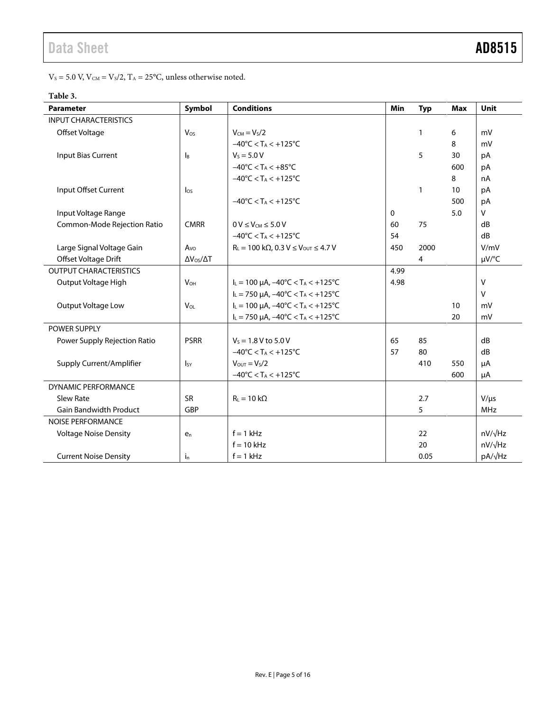$V_s = 5.0$  V,  $V_{CM} = V_s/2$ ,  $T_A = 25$ °C, unless otherwise noted.

# **Table 3.**

| <b>Parameter</b>              | Symbol                    | <b>Conditions</b>                                                | Min         | <b>Typ</b> | <b>Max</b> | Unit           |
|-------------------------------|---------------------------|------------------------------------------------------------------|-------------|------------|------------|----------------|
| <b>INPUT CHARACTERISTICS</b>  |                           |                                                                  |             |            |            |                |
| Offset Voltage                | Vos                       | $V_{CM} = V_S/2$                                                 |             | 1          | 6          | mV             |
|                               |                           | $-40^{\circ}$ C < T <sub>A</sub> < $+125^{\circ}$ C              |             |            | 8          | mV             |
| <b>Input Bias Current</b>     | $\mathsf{I}_{\mathsf{B}}$ | $V_S = 5.0 V$                                                    |             | 5          | 30         | pA             |
|                               |                           | $-40^{\circ}$ C < T <sub>A</sub> < $+85^{\circ}$ C               |             |            | 600        | pA             |
|                               |                           | $-40^{\circ}$ C < T <sub>A</sub> < $+125^{\circ}$ C              |             |            | 8          | nA             |
| Input Offset Current          | $I_{OS}$                  |                                                                  |             | 1          | 10         | pA             |
|                               |                           | $-40^{\circ}$ C < T <sub>A</sub> < $+125^{\circ}$ C              |             |            | 500        | pA             |
| Input Voltage Range           |                           |                                                                  | $\mathbf 0$ |            | 5.0        | $\vee$         |
| Common-Mode Rejection Ratio   | <b>CMRR</b>               | $0 V \leq V_{CM} \leq 5.0 V$                                     | 60          | 75         |            | dB             |
|                               |                           | $-40^{\circ}$ C < T <sub>A</sub> < $+125^{\circ}$ C              | 54          |            |            | dB             |
| Large Signal Voltage Gain     | A <sub>VO</sub>           | $R_L = 100 k\Omega$ , 0.3 V $\leq$ V <sub>OUT</sub> $\leq$ 4.7 V | 450         | 2000       |            | V/mV           |
| Offset Voltage Drift          | $\Delta V_{OS}/\Delta T$  |                                                                  |             | 4          |            | µV/°C          |
| <b>OUTPUT CHARACTERISTICS</b> |                           |                                                                  | 4.99        |            |            |                |
| Output Voltage High           | $V_{OH}$                  | $I_L = 100 \mu A$ , $-40^{\circ}C < T_A < +125^{\circ}C$         | 4.98        |            |            | $\vee$         |
|                               |                           | $I_L$ = 750 µA, -40°C < T <sub>A</sub> < +125°C                  |             |            |            | v              |
| Output Voltage Low            | <b>V<sub>OL</sub></b>     | $I_L = 100 \mu A$ , $-40^{\circ}C < T_A < +125^{\circ}C$         |             |            | 10         | mV             |
|                               |                           | $I_L = 750 \mu A$ , $-40^{\circ}C < T_A < +125^{\circ}C$         |             |            | 20         | mV             |
| POWER SUPPLY                  |                           |                                                                  |             |            |            |                |
| Power Supply Rejection Ratio  | <b>PSRR</b>               | $V_s = 1.8 V$ to 5.0 V                                           | 65          | 85         |            | dB             |
|                               |                           | $-40^{\circ}$ C < T <sub>A</sub> < $+125^{\circ}$ C              | 57          | 80         |            | dB             |
| Supply Current/Amplifier      | $I_{SY}$                  | $V_{OUT} = V_S/2$                                                |             | 410        | 550        | μA             |
|                               |                           | $-40^{\circ}$ C < T <sub>A</sub> < $+125^{\circ}$ C              |             |            | 600        | μA             |
| <b>DYNAMIC PERFORMANCE</b>    |                           |                                                                  |             |            |            |                |
| Slew Rate                     | <b>SR</b>                 | $R_L = 10 k\Omega$                                               |             | 2.7        |            | $V/\mu s$      |
| <b>Gain Bandwidth Product</b> | GBP                       |                                                                  |             | 5          |            | <b>MHz</b>     |
| <b>NOISE PERFORMANCE</b>      |                           |                                                                  |             |            |            |                |
| <b>Voltage Noise Density</b>  | $e_n$                     | $f = 1$ kHz                                                      |             | 22         |            | $nV/\sqrt{Hz}$ |
|                               |                           | $f = 10$ kHz                                                     |             | 20         |            | nV/√Hz         |
| <b>Current Noise Density</b>  | i <sub>n</sub>            | $f = 1$ kHz                                                      |             | 0.05       |            | pA/√Hz         |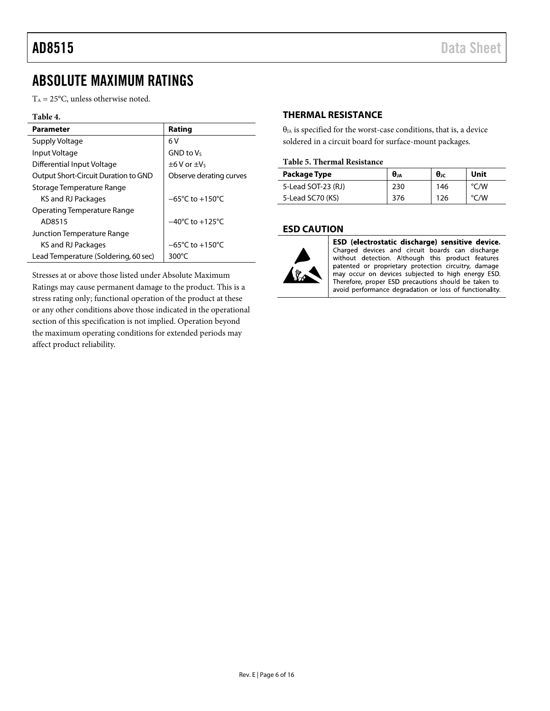## AD8515 Data Sheet

# <span id="page-5-0"></span>ABSOLUTE MAXIMUM RATINGS

 $T_A = 25$ °C, unless otherwise noted.

### **Table 4.**

| Parameter                            | Rating                              |
|--------------------------------------|-------------------------------------|
| Supply Voltage                       | 6 V                                 |
| Input Voltage                        | $GND$ to $V_S$                      |
| Differential Input Voltage           | $±6V$ or $±V5$                      |
| Output Short-Circuit Duration to GND | Observe derating curves             |
| Storage Temperature Range            |                                     |
| KS and RJ Packages                   | $-65^{\circ}$ C to $+150^{\circ}$ C |
| Operating Temperature Range          |                                     |
| AD8515                               | $-40^{\circ}$ C to $+125^{\circ}$ C |
| Junction Temperature Range           |                                     |
| KS and RJ Packages                   | $-65^{\circ}$ C to $+150^{\circ}$ C |
| Lead Temperature (Soldering, 60 sec) | $300^{\circ}$ C                     |

Stresses at or above those listed under Absolute Maximum Ratings may cause permanent damage to the product. This is a stress rating only; functional operation of the product at these or any other conditions above those indicated in the operational section of this specification is not implied. Operation beyond the maximum operating conditions for extended periods may affect product reliability.

#### <span id="page-5-1"></span>**THERMAL RESISTANCE**

 $\theta_{IA}$  is specified for the worst-case conditions, that is, a device soldered in a circuit board for surface-mount packages.

#### **Table 5. Thermal Resistance**

| Package Type       | Өла | $\theta$ Jc | Unit |
|--------------------|-----|-------------|------|
| 5-Lead SOT-23 (RJ) | 230 | 146         | °C/W |
| 5-Lead SC70 (KS)   | 376 | 126         | °C/W |

#### <span id="page-5-2"></span>**ESD CAUTION**



ESD (electrostatic discharge) sensitive device. Charged devices and circuit boards can discharge without detection. Although this product features patented or proprietary protection circuitry, damage may occur on devices subjected to high energy ESD. Therefore, proper ESD precautions should be taken to avoid performance degradation or loss of functionality.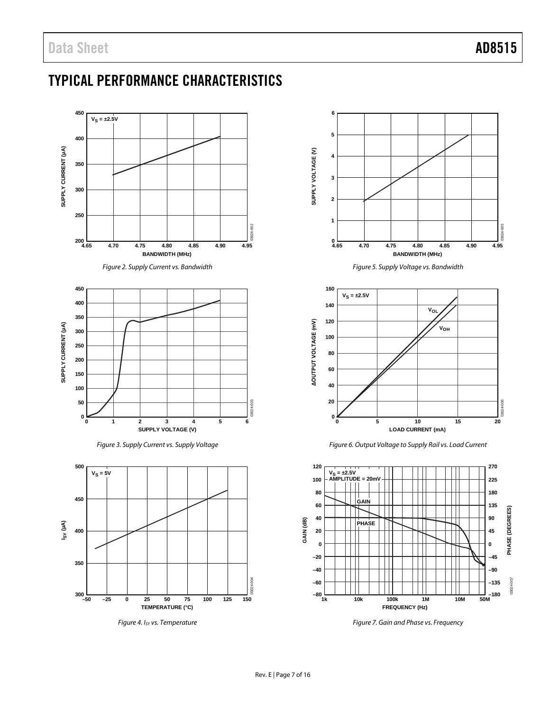# <span id="page-6-0"></span>TYPICAL PERFORMANCE CHARACTERISTICS

<span id="page-6-1"></span>

*Figure 4. ISY vs. Temperature*

<span id="page-6-2"></span>**300**<br>**1300–50** -25 0 25 50 75 100 125 150

**TEMPERATURE (°C)**

**–25 0 25 50 75 100 125**



<span id="page-6-3"></span>

*Figure 6. Output Voltage to Supply Rail vs. Load Current*



*Figure 7. Gain and Phase vs. Frequency*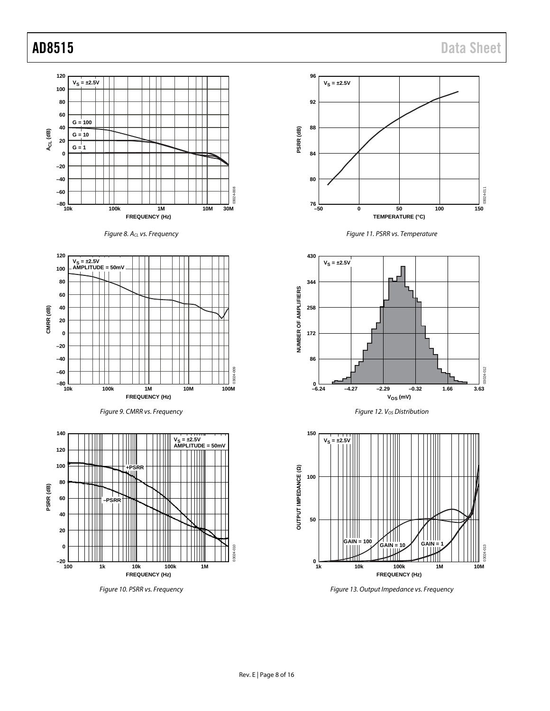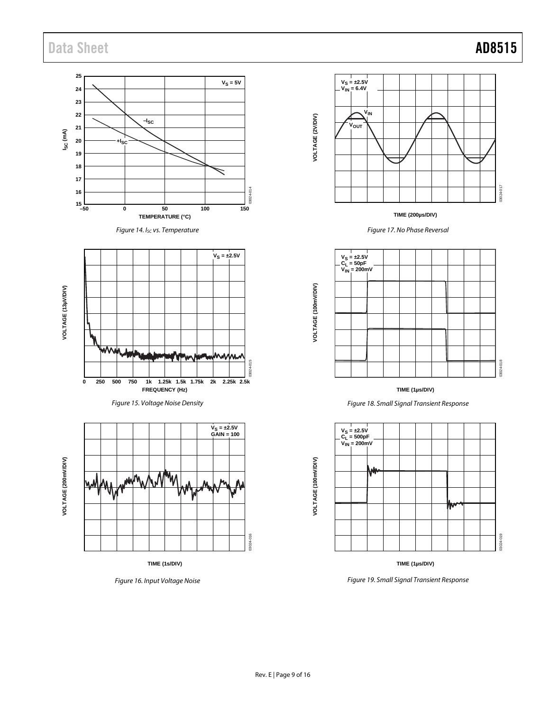# Data Sheet **AD8515**

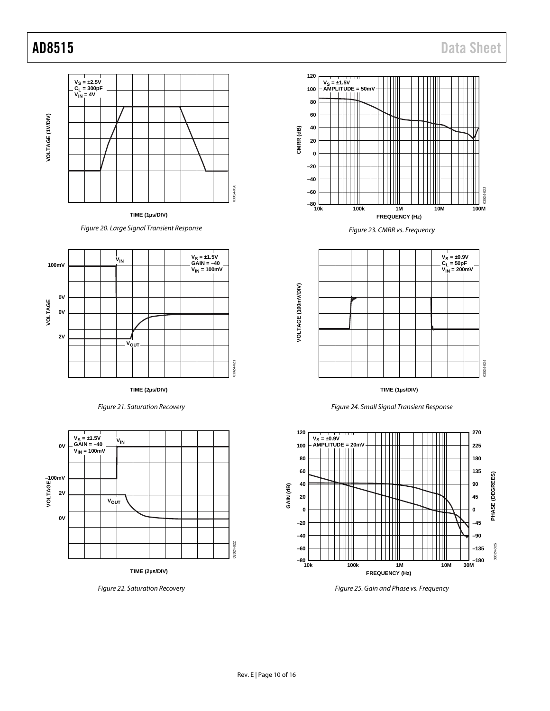AD8515 Data Sheet



*Figure 20. Large Signal Transient Response*



**TIME (2µs/DIV)**

*Figure 21. Saturation Recovery*



**TIME (2µs/DIV)**

*Figure 22. Saturation Recovery*







**TIME (1µs/DIV)**





*Figure 25. Gain and Phase vs. Frequency*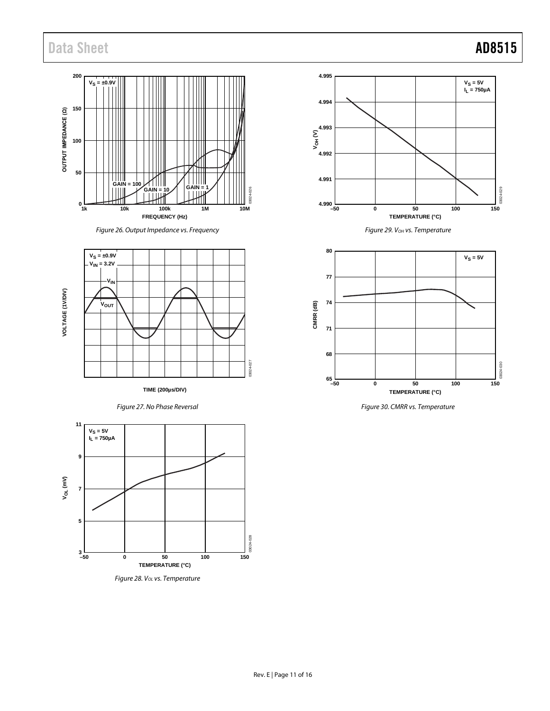# Data Sheet **AD8515**







**TIME (200µs/DIV)**









*Figure 29. VOH vs. Temperature*



*Figure 30. CMRR vs. Temperature*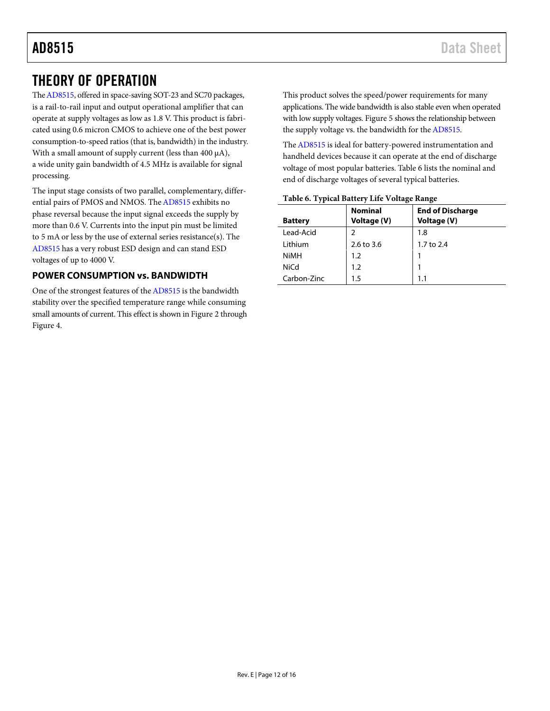# <span id="page-11-0"></span>THEORY OF OPERATION

Th[e AD8515,](http://www.analog.com/AD8515?doc=AD8515.pdf) offered in space-saving SOT-23 and SC70 packages, is a rail-to-rail input and output operational amplifier that can operate at supply voltages as low as 1.8 V. This product is fabricated using 0.6 micron CMOS to achieve one of the best power consumption-to-speed ratios (that is, bandwidth) in the industry. With a small amount of supply current (less than 400 μA), a wide unity gain bandwidth of 4.5 MHz is available for signal processing.

The input stage consists of two parallel, complementary, differential pairs of PMOS and NMOS. Th[e AD8515](http://www.analog.com/AD8515?doc=AD8515.pdf) exhibits no phase reversal because the input signal exceeds the supply by more than 0.6 V. Currents into the input pin must be limited to 5 mA or less by the use of external series resistance(s). The [AD8515](http://www.analog.com/AD8515?doc=AD8515.pdf) has a very robust ESD design and can stand ESD voltages of up to 4000 V.

### <span id="page-11-1"></span>**POWER CONSUMPTION vs. BANDWIDTH**

One of the strongest features of th[e AD8515](http://www.analog.com/AD8515?doc=AD8515.pdf) is the bandwidth stability over the specified temperature range while consuming small amounts of current. This effect is shown i[n Figure 2](#page-6-1) through [Figure 4.](#page-6-2)

This product solves the speed/power requirements for many applications. The wide bandwidth is also stable even when operated with low supply voltages[. Figure 5](#page-6-3) shows the relationship between the supply voltage vs. the bandwidth for th[e AD8515.](http://www.analog.com/AD8515?doc=AD8515.pdf)

Th[e AD8515](http://www.analog.com/AD8515?doc=AD8515.pdf) is ideal for battery-powered instrumentation and handheld devices because it can operate at the end of discharge voltage of most popular batteries[. Table 6](#page-11-2) lists the nominal and end of discharge voltages of several typical batteries.

| $2.0014$ of $2.1$ partnershesses, and the contempt attempt |                               |                                        |  |  |  |
|------------------------------------------------------------|-------------------------------|----------------------------------------|--|--|--|
| <b>Battery</b>                                             | <b>Nominal</b><br>Voltage (V) | <b>End of Discharge</b><br>Voltage (V) |  |  |  |
|                                                            |                               |                                        |  |  |  |
| Lead-Acid                                                  |                               | 1.8                                    |  |  |  |
| Lithium                                                    | 2.6 to 3.6                    | 1.7 to 2.4                             |  |  |  |
| <b>NiMH</b>                                                | 1.2                           |                                        |  |  |  |
| <b>NiCd</b>                                                | 1.2                           |                                        |  |  |  |
| Carbon-Zinc                                                | 1.5                           | 1.1                                    |  |  |  |

#### <span id="page-11-2"></span>**Table 6. Typical Battery Life Voltage Range**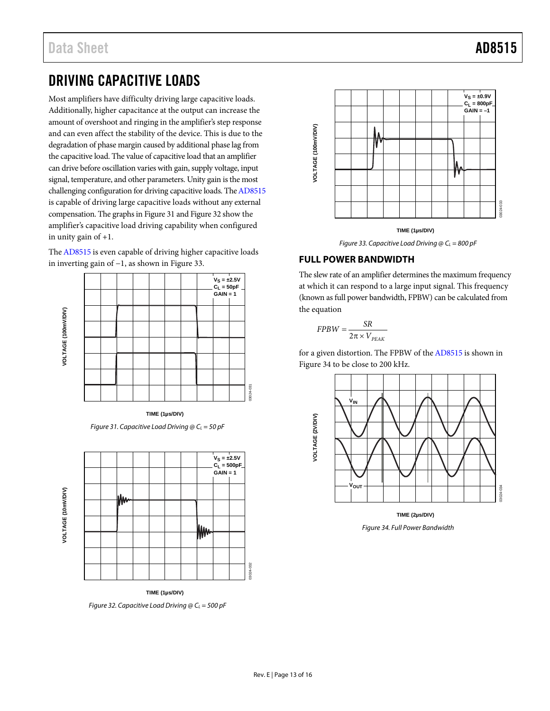# <span id="page-12-0"></span>DRIVING CAPACITIVE LOADS

Most amplifiers have difficulty driving large capacitive loads. Additionally, higher capacitance at the output can increase the amount of overshoot and ringing in the amplifier's step response and can even affect the stability of the device. This is due to the degradation of phase margin caused by additional phase lag from the capacitive load. The value of capacitive load that an amplifier can drive before oscillation varies with gain, supply voltage, input signal, temperature, and other parameters. Unity gain is the most challenging configuration for driving capacitive loads. Th[e AD8515](http://www.analog.com/AD8515?doc=AD8515.pdf) is capable of driving large capacitive loads without any external compensation. The graphs i[n Figure 31](#page-12-2) an[d Figure 32](#page-12-3) show the amplifier's capacitive load driving capability when configured in unity gain of +1.

Th[e AD8515](http://www.analog.com/AD8515?doc=AD8515.pdf) is even capable of driving higher capacitive loads in inverting gain of −1, as shown in [Figure 33.](#page-12-4) 



**TIME (1µs/DIV)** *Figure 31. Capacitive Load Driving @ C<sub>L</sub> = 50 pF* 

<span id="page-12-2"></span>

<span id="page-12-3"></span>**TIME (1µs/DIV)** *Figure 32. Capacitive Load Driving @ CL = 500 pF*



*Figure 33. Capacitive Load Driving @ CL = 800 pF*

### <span id="page-12-4"></span><span id="page-12-1"></span>**FULL POWER BANDWIDTH**

The slew rate of an amplifier determines the maximum frequency at which it can respond to a large input signal. This frequency (known as full power bandwidth, FPBW) can be calculated from the equation

$$
FPBW = \frac{SR}{2\pi \times V_{PEAK}}
$$

for a given distortion. The FPBW of th[e AD8515](http://www.analog.com/AD8515?doc=AD8515.pdf) is shown in [Figure](#page-12-5) 34 to be close to 200 kHz.



<span id="page-12-5"></span>*Figure 34. Full Power Bandwidth*

03024-032

13024-032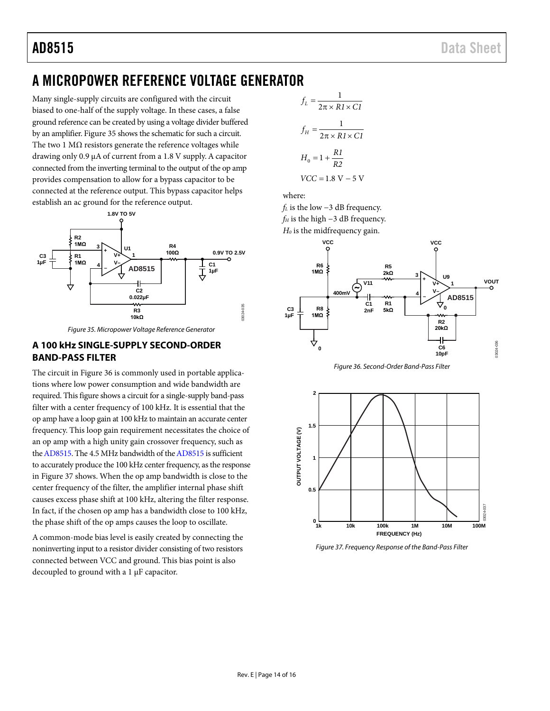# <span id="page-13-0"></span>A MICROPOWER REFERENCE VOLTAGE GENERATOR

Many single-supply circuits are configured with the circuit biased to one-half of the supply voltage. In these cases, a false ground reference can be created by using a voltage divider buffered by an amplifier[. Figure 35](#page-13-2) shows the schematic for such a circuit. The two 1  $M\Omega$  resistors generate the reference voltages while drawing only 0.9 μA of current from a 1.8 V supply. A capacitor connected from the inverting terminal to the output of the op amp provides compensation to allow for a bypass capacitor to be connected at the reference output. This bypass capacitor helps establish an ac ground for the reference output.



*Figure 35. Micropower Voltage Reference Generator*

### <span id="page-13-2"></span><span id="page-13-1"></span>**A 100 kHz SINGLE-SUPPLY SECOND-ORDER BAND-PASS FILTER**

The circuit i[n Figure 36](#page-13-3) is commonly used in portable applications where low power consumption and wide bandwidth are required. This figure shows a circuit for a single-supply band-pass filter with a center frequency of 100 kHz. It is essential that the op amp have a loop gain at 100 kHz to maintain an accurate center frequency. This loop gain requirement necessitates the choice of an op amp with a high unity gain crossover frequency, such as th[e AD8515.](http://www.analog.com/AD8515?doc=AD8515.pdf) The 4.5 MHz bandwidth of th[e AD8515](http://www.analog.com/AD8515?doc=AD8515.pdf) is sufficient to accurately produce the 100 kHz center frequency, as the response in [Figure](#page-13-4) 37 shows. When the op amp bandwidth is close to the center frequency of the filter, the amplifier internal phase shift causes excess phase shift at 100 kHz, altering the filter response. In fact, if the chosen op amp has a bandwidth close to 100 kHz, the phase shift of the op amps causes the loop to oscillate.

A common-mode bias level is easily created by connecting the noninverting input to a resistor divider consisting of two resistors connected between VCC and ground. This bias point is also decoupled to ground with a 1 μF capacitor.

$$
f_L = \frac{1}{2\pi \times R1 \times CI}
$$
  

$$
f_H = \frac{1}{2\pi \times R1 \times CI}
$$
  

$$
H_0 = 1 + \frac{R1}{R2}
$$
  

$$
VCC = 1.8 \text{ V} - 5 \text{ V}
$$

where:

*f*<sub>L</sub> is the low −3 dB frequency.  $f_H$  is the high  $-3$  dB frequency.

*H0* is the midfrequency gain.





<span id="page-13-3"></span>

<span id="page-13-4"></span>*Figure 37. Frequency Response of the Band-Pass Filter*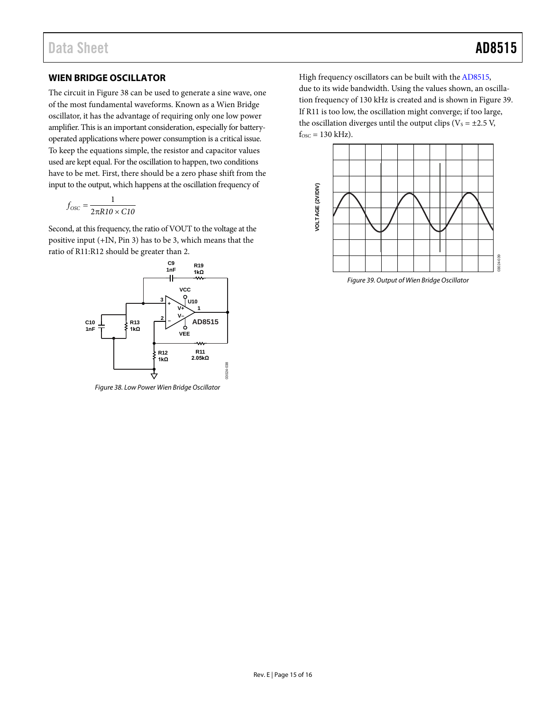### <span id="page-14-0"></span>**WIEN BRIDGE OSCILLATOR**

The circuit i[n Figure 38](#page-14-1) can be used to generate a sine wave, one of the most fundamental waveforms. Known as a Wien Bridge oscillator, it has the advantage of requiring only one low power amplifier. This is an important consideration, especially for batteryoperated applications where power consumption is a critical issue. To keep the equations simple, the resistor and capacitor values used are kept equal. For the oscillation to happen, two conditions have to be met. First, there should be a zero phase shift from the input to the output, which happens at the oscillation frequency of

$$
f_{\rm OSC} = \frac{1}{2\pi R I0 \times C I0}
$$

Second, at this frequency, the ratio of VOUT to the voltage at the positive input (+IN, Pin 3) has to be 3, which means that the ratio of R11:R12 should be greater than 2.



<span id="page-14-1"></span>*Figure 38. Low Power Wien Bridge Oscillator*

High frequency oscillators can be built with th[e AD8515,](http://www.analog.com/AD8515?doc=AD8515.pdf)  due to its wide bandwidth. Using the values shown, an oscillation frequency of 130 kHz is created and is shown i[n Figure 39.](#page-14-2) If R11 is too low, the oscillation might converge; if too large, the oscillation diverges until the output clips ( $V_s = \pm 2.5$  V,  $f<sub>osc</sub> = 130 kHz$ .



<span id="page-14-2"></span>*Figure 39. Output of Wien Bridge Oscillator*